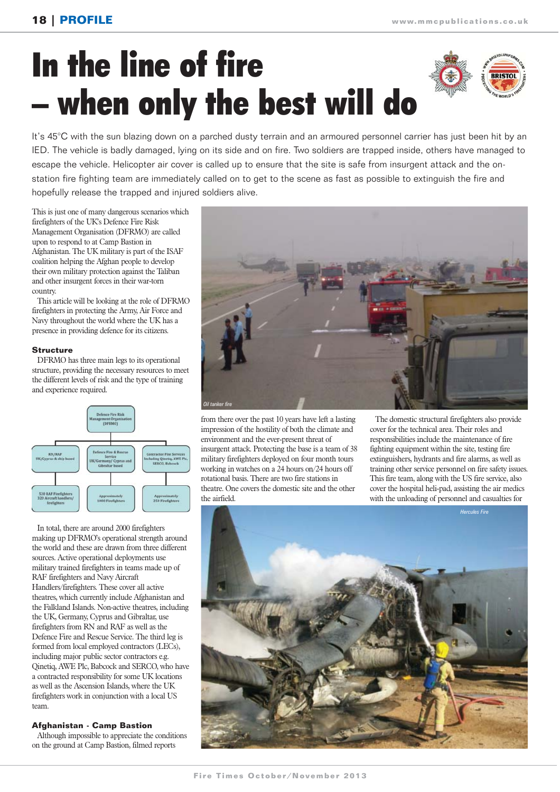# In the line of fire – when only the best will do



It's 45°C with the sun blazing down on a parched dusty terrain and an armoured personnel carrier has just been hit by an IED. The vehicle is badly damaged, lying on its side and on fire. Two soldiers are trapped inside, others have managed to escape the vehicle. Helicopter air cover is called up to ensure that the site is safe from insurgent attack and the onstation fire fighting team are immediately called on to get to the scene as fast as possible to extinguish the fire and hopefully release the trapped and injured soldiers alive.

This is just one of many dangerous scenarios which firefighters of the UK's Defence Fire Risk Management Organisation (DFRMO) are called upon to respond to at Camp Bastion in Afghanistan. The UK military is part of the ISAF coalition helping the Afghan people to develop their own military protection against the Taliban and other insurgent forces in their war-torn country.

This article will be looking at the role of DFRMO firefighters in protecting the Army, Air Force and Navy throughout the world where the UK has a presence in providing defence for its citizens.

## **Structure**

DFRMO has three main legs to its operational structure, providing the necessary resources to meet the different levels of risk and the type of training and experience required.



In total, there are around 2000 firefighters making up DFRMO's operational strength around the world and these are drawn from three different sources. Active operational deployments use military trained firefighters in teams made up of RAF firefighters and Navy Aircraft Handlers/firefighters. These cover all active theatres, which currently include Afghanistan and the Falkland Islands. Non-active theatres, including the UK, Germany, Cyprus and Gibraltar, use firefighters from RN and RAF as well as the Defence Fire and Rescue Service. The third leg is formed from local employed contractors (LECs), including major public sector contractors e.g. Qinetiq, AWE Plc, Babcock and SERCO, who have a contracted responsibility for some UK locations as well as the Ascension Islands, where the UK firefighters work in conjunction with a local US team.

## **Afghanistan - Camp Bastion**

Although impossible to appreciate the conditions on the ground at Camp Bastion, filmed reports



from there over the past 10 years have left a lasting impression of the hostility of both the climate and environment and the ever-present threat of insurgent attack. Protecting the base is a team of 38 military firefighters deployed on four month tours working in watches on a 24 hours on/24 hours off rotational basis. There are two fire stations in theatre. One covers the domestic site and the other the airfield.

The domestic structural firefighters also provide cover for the technical area. Their roles and responsibilities include the maintenance of fire fighting equipment within the site, testing fire extinguishers, hydrants and fire alarms, as well as training other service personnel on fire safety issues. This fire team, along with the US fire service, also cover the hospital heli-pad, assisting the air medics with the unloading of personnel and casualties for